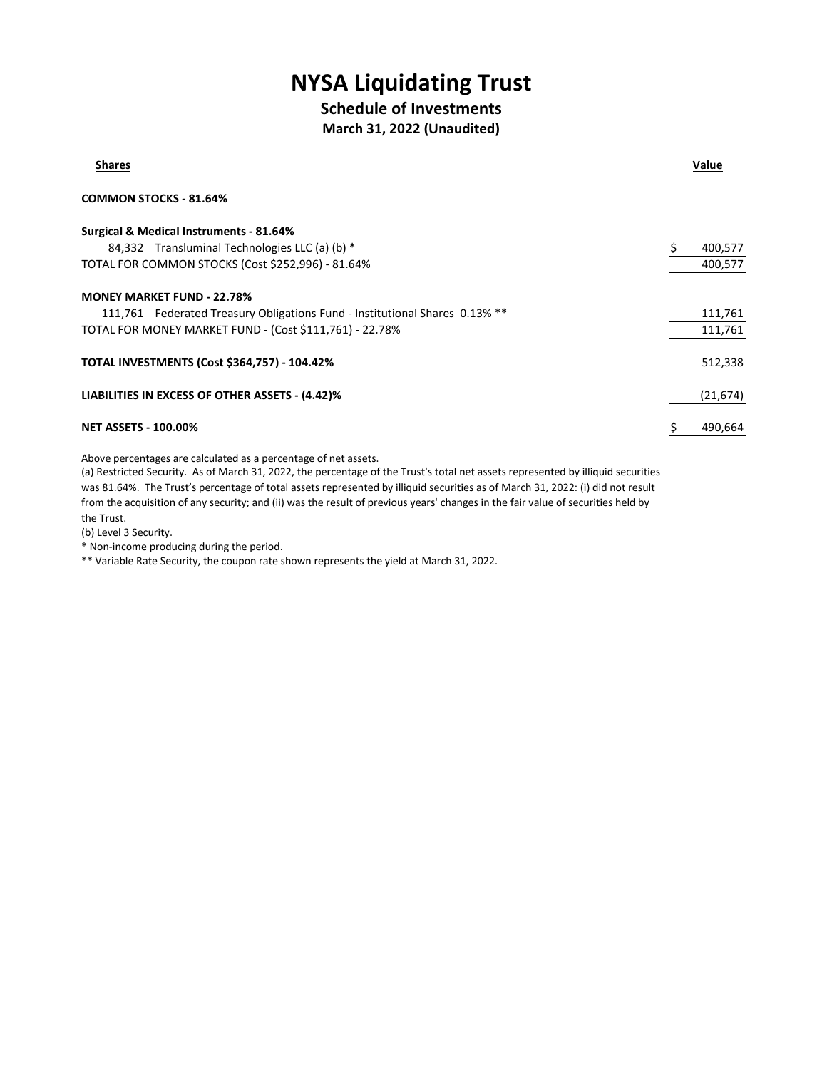## NYSA Liquidating Trust

### Schedule of Investments

#### March 31, 2022 (Unaudited)

| <b>Shares</b>                                                               | Value     |
|-----------------------------------------------------------------------------|-----------|
| <b>COMMON STOCKS - 81.64%</b>                                               |           |
| <b>Surgical &amp; Medical Instruments - 81.64%</b>                          |           |
| 84,332 Transluminal Technologies LLC (a) (b) *                              | 400,577   |
| TOTAL FOR COMMON STOCKS (Cost \$252,996) - 81.64%                           | 400,577   |
| <b>MONEY MARKET FUND - 22.78%</b>                                           |           |
| 111,761 Federated Treasury Obligations Fund - Institutional Shares 0.13% ** | 111,761   |
| TOTAL FOR MONEY MARKET FUND - (Cost \$111,761) - 22.78%                     | 111,761   |
| <b>TOTAL INVESTMENTS (Cost \$364,757) - 104.42%</b>                         | 512,338   |
| LIABILITIES IN EXCESS OF OTHER ASSETS - (4.42)%                             | (21, 674) |
| <b>NET ASSETS - 100.00%</b>                                                 | 490,664   |

Above percentages are calculated as a percentage of net assets.

(a) Restricted Security. As of March 31, 2022, the percentage of the Trust's total net assets represented by illiquid securities was 81.64%. The Trust's percentage of total assets represented by illiquid securities as of March 31, 2022: (i) did not result from the acquisition of any security; and (ii) was the result of previous years' changes in the fair value of securities held by the Trust.

(b) Level 3 Security.

\* Non-income producing during the period.

\*\* Variable Rate Security, the coupon rate shown represents the yield at March 31, 2022.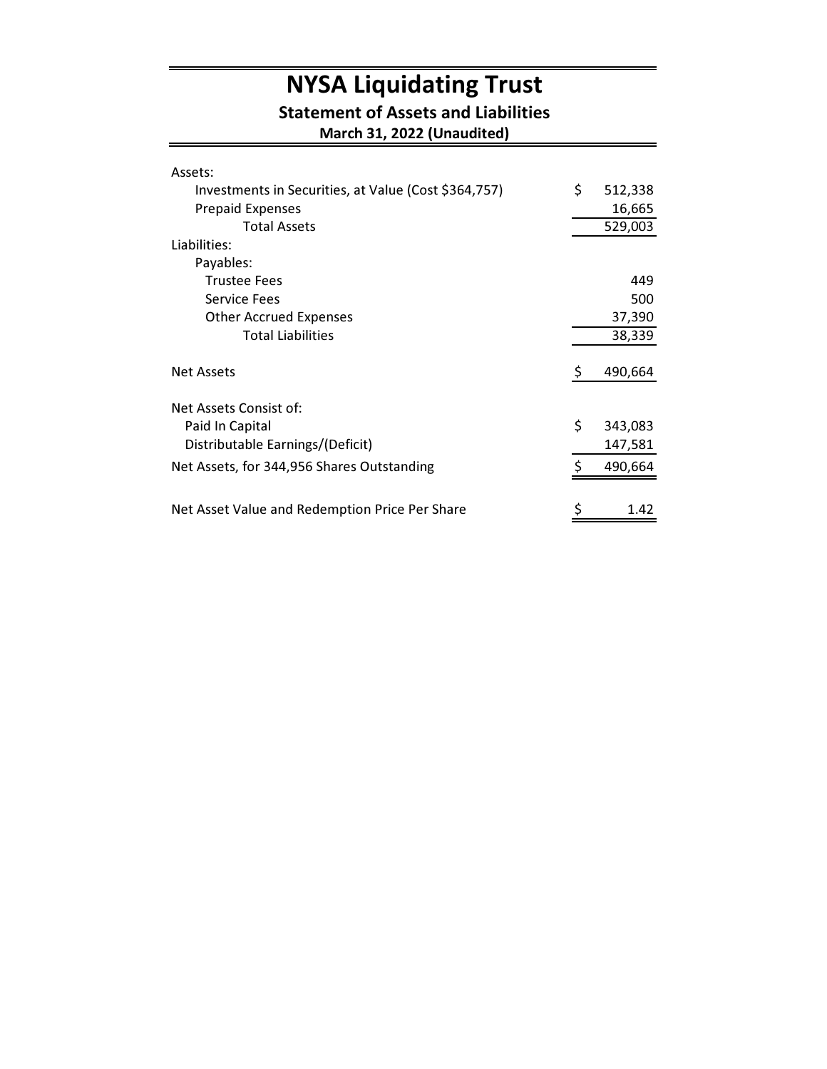# NYSA Liquidating Trust

#### Statement of Assets and Liabilities

March 31, 2022 (Unaudited)

| Assets:                                              |    |         |
|------------------------------------------------------|----|---------|
| Investments in Securities, at Value (Cost \$364,757) | \$ | 512,338 |
| <b>Prepaid Expenses</b>                              |    | 16,665  |
| <b>Total Assets</b>                                  |    | 529,003 |
| Liabilities:                                         |    |         |
| Payables:                                            |    |         |
| <b>Trustee Fees</b>                                  |    | 449     |
| <b>Service Fees</b>                                  |    | 500     |
| <b>Other Accrued Expenses</b>                        |    | 37,390  |
| <b>Total Liabilities</b>                             |    | 38,339  |
| <b>Net Assets</b>                                    | \$ | 490,664 |
| Net Assets Consist of:                               |    |         |
| Paid In Capital                                      | \$ | 343,083 |
| Distributable Earnings/(Deficit)                     |    | 147,581 |
| Net Assets, for 344,956 Shares Outstanding           | ς  | 490,664 |
|                                                      |    |         |
| Net Asset Value and Redemption Price Per Share       | \$ | 1.42    |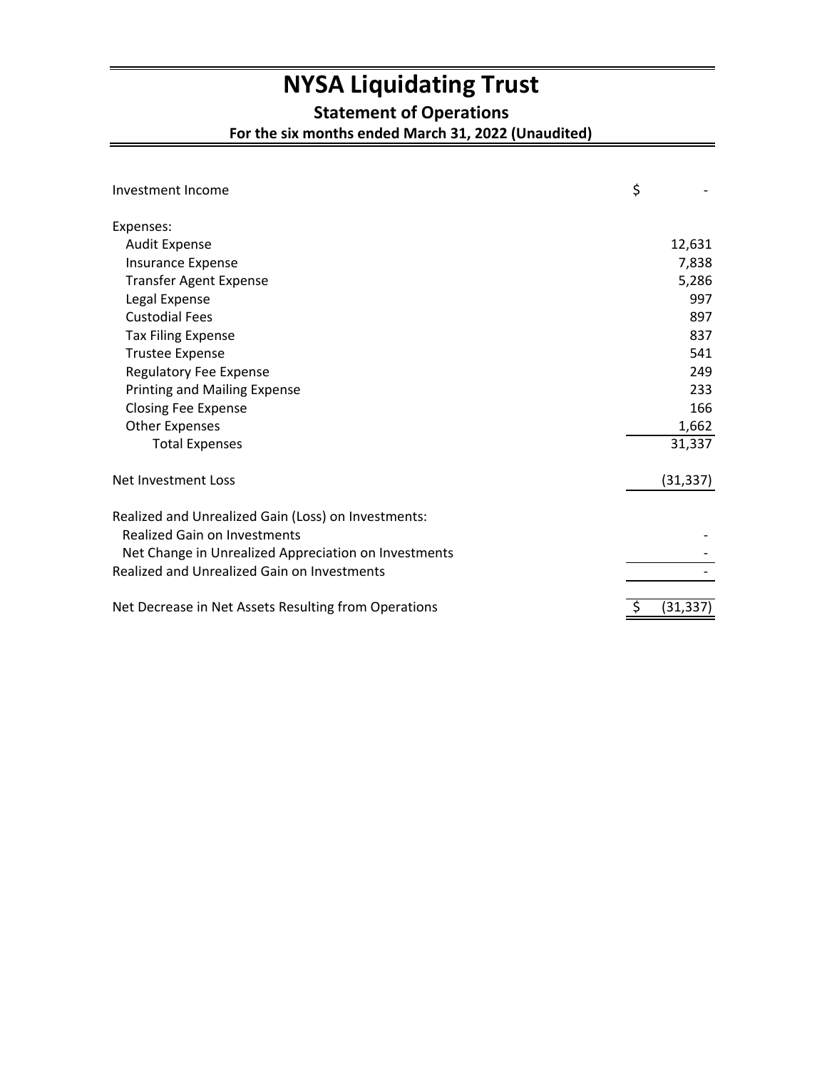## **NYSA Liquidating Trust**

**Statement of Operations**

**For the six months ended March 31, 2022 (Unaudited)**

| Investment Income                                                                   | \$        |
|-------------------------------------------------------------------------------------|-----------|
| Expenses:                                                                           |           |
| <b>Audit Expense</b>                                                                | 12,631    |
| <b>Insurance Expense</b>                                                            | 7,838     |
| <b>Transfer Agent Expense</b>                                                       | 5,286     |
| Legal Expense                                                                       | 997       |
| <b>Custodial Fees</b>                                                               | 897       |
| <b>Tax Filing Expense</b>                                                           | 837       |
| <b>Trustee Expense</b>                                                              | 541       |
| Regulatory Fee Expense                                                              | 249       |
| <b>Printing and Mailing Expense</b>                                                 | 233       |
| <b>Closing Fee Expense</b>                                                          | 166       |
| <b>Other Expenses</b>                                                               | 1,662     |
| <b>Total Expenses</b>                                                               | 31,337    |
| Net Investment Loss                                                                 | (31, 337) |
| Realized and Unrealized Gain (Loss) on Investments:<br>Realized Gain on Investments |           |
| Net Change in Unrealized Appreciation on Investments                                |           |
| <b>Realized and Unrealized Gain on Investments</b>                                  |           |
| Net Decrease in Net Assets Resulting from Operations                                | (31,337)  |